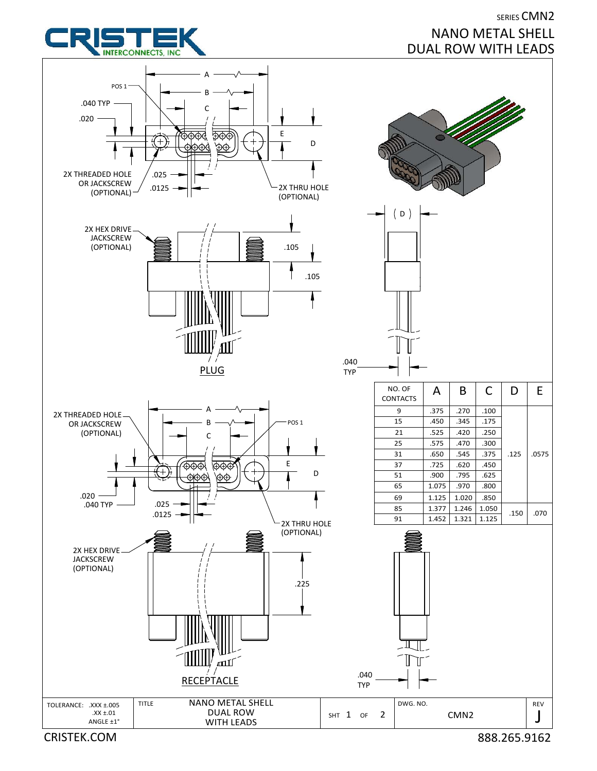## SERIES CMN2 NANO METAL SHELL DUAL ROW WITH LEADS